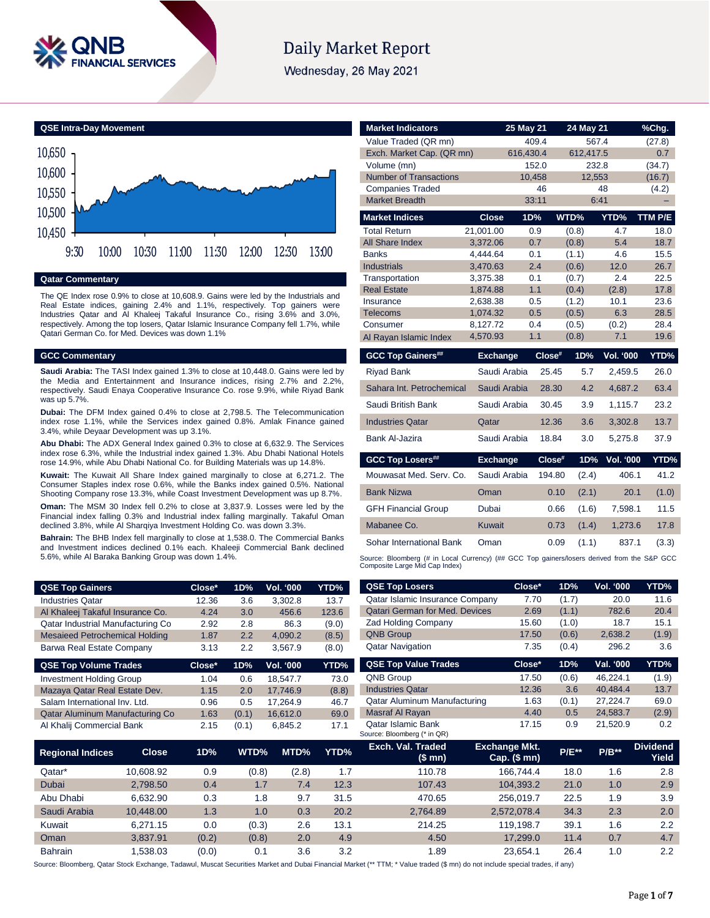

# Daily Market Report

Wednesday, 26 May 2021



### **Qatar Commentary**

The QE Index rose 0.9% to close at 10,608.9. Gains were led by the Industrials and Real Estate indices, gaining 2.4% and 1.1%, respectively. Top gainers were Industries Qatar and Al Khaleej Takaful Insurance Co., rising 3.6% and 3.0%, respectively. Among the top losers, Qatar Islamic Insurance Company fell 1.7%, while Qatari German Co. for Med. Devices was down 1.1%

# **GCC Commentary**

**Saudi Arabia:** The TASI Index gained 1.3% to close at 10,448.0. Gains were led by the Media and Entertainment and Insurance indices, rising 2.7% and 2.2%, respectively. Saudi Enaya Cooperative Insurance Co. rose 9.9%, while Riyad Bank was up 5.7%.

**Dubai:** The DFM Index gained 0.4% to close at 2,798.5. The Telecommunication index rose 1.1%, while the Services index gained 0.8%. Amlak Finance gained 3.4%, while Deyaar Development was up 3.1%.

**Abu Dhabi:** The ADX General Index gained 0.3% to close at 6,632.9. The Services index rose 6.3%, while the Industrial index gained 1.3%. Abu Dhabi National Hotels rose 14.9%, while Abu Dhabi National Co. for Building Materials was up 14.8%.

**Kuwait:** The Kuwait All Share Index gained marginally to close at 6,271.2. The Consumer Staples index rose 0.6%, while the Banks index gained 0.5%. National Shooting Company rose 13.3%, while Coast Investment Development was up 8.7%.

**Oman:** The MSM 30 Index fell 0.2% to close at 3,837.9. Losses were led by the Financial index falling 0.3% and Industrial index falling marginally. Takaful Oman declined 3.8%, while Al Sharqiya Investment Holding Co. was down 3.3%.

**Bahrain:** The BHB Index fell marginally to close at 1,538.0. The Commercial Banks and Investment indices declined 0.1% each. Khaleeji Commercial Bank declined 5.6%, while Al Baraka Banking Group was down 1.4%.

| <b>Market Indicators</b>        |                      | 25 May 21  |                | 24 May 21 |                  | %Chg.         |
|---------------------------------|----------------------|------------|----------------|-----------|------------------|---------------|
| Value Traded (QR mn)            |                      | 409.4      |                | 567.4     |                  | (27.8)        |
| Exch. Market Cap. (QR mn)       |                      | 616,430.4  |                | 612,417.5 |                  | 0.7           |
| Volume (mn)                     |                      | 152.0      |                | 232.8     |                  | (34.7)        |
| <b>Number of Transactions</b>   |                      | 10,458     |                | 12,553    |                  | (16.7)        |
| <b>Companies Traded</b>         |                      | 46         |                | 48        |                  | (4.2)         |
| <b>Market Breadth</b>           |                      | 33:11      |                | 6:41      |                  |               |
| <b>Market Indices</b>           | <b>Close</b>         | 1D%        | WTD%           |           | YTD%             | TTM P/E       |
| <b>Total Return</b>             | 21,001.00            | 0.9        | (0.8)          |           | 4.7              | 18.0          |
| All Share Index                 | 3,372.06             | 0.7        | (0.8)          |           | 5.4              | 18.7          |
| <b>Banks</b>                    | 4,444.64             | 0.1        | (1.1)          |           | 4.6              | 15.5          |
| <b>Industrials</b>              | 3.470.63             | 2.4        | (0.6)          |           | 12.0             | 26.7          |
| Transportation                  | 3,375.38             | 0.1        | (0.7)          |           | 2.4              | 22.5          |
| <b>Real Estate</b><br>Insurance | 1,874.88<br>2.638.38 | 1.1<br>0.5 | (0.4)<br>(1.2) |           | (2.8)<br>10.1    | 17.8<br>23.6  |
| <b>Telecoms</b>                 | 1,074.32             | 0.5        | (0.5)          |           | 6.3              | 28.5          |
| Consumer                        | 8.127.72             | 0.4        | (0.5)          |           | (0.2)            | 28.4          |
| Al Rayan Islamic Index          | 4,570.93             | 1.1        | (0.8)          |           | 7.1              | 19.6          |
|                                 |                      |            |                |           |                  |               |
|                                 |                      |            |                |           |                  |               |
| <b>GCC Top Gainers##</b>        | <b>Exchange</b>      |            | $Close^*$      | 1D%       | <b>Vol. '000</b> | YTD%          |
| <b>Riyad Bank</b>               | Saudi Arabia         |            | 25.45          | 5.7       | 2.459.5          | 26.0          |
| Sahara Int. Petrochemical       | Saudi Arabia         |            | 28.30          | 4.2       | 4,687.2          | 63.4          |
| Saudi British Bank              | Saudi Arabia         |            | 30.45          | 3.9       | 1,115.7          | 23.2          |
| <b>Industries Qatar</b>         | Qatar                |            | 12.36          | 3.6       | 3,302.8          | 13.7          |
| Bank Al-Jazira                  | Saudi Arabia         |            | 18.84          | 3.0       | 5,275.8          | 37.9          |
| <b>GCC Top Losers##</b>         | <b>Exchange</b>      |            | $Close^*$      | 1D%       | <b>Vol. '000</b> |               |
| Mouwasat Med. Serv. Co.         | Saudi Arabia         |            | 194.80         | (2.4)     | 406.1            | 41.2          |
| <b>Bank Nizwa</b>               | Oman                 |            | 0.10           | (2.1)     | 20.1             | (1.0)         |
| <b>GFH Financial Group</b>      | Dubai                |            | 0.66           | (1.6)     | 7,598.1          | 11.5          |
| Mabanee Co.                     | <b>Kuwait</b>        |            | 0.73           | (1.4)     | 1,273.6          | 17.8          |
| Sohar International Bank        | Oman                 |            | 0.09           | (1.1)     | 837.1            | YTD%<br>(3.3) |

| <b>QSE Top Gainers</b>                |              | Close* | 1D%   | Vol. '000        | YTD%  | <b>QSE Top Losers</b>                             | Close*                               | 1D%     | Vol. '000 | YTD%                     |
|---------------------------------------|--------------|--------|-------|------------------|-------|---------------------------------------------------|--------------------------------------|---------|-----------|--------------------------|
| <b>Industries Qatar</b>               |              | 12.36  | 3.6   | 3,302.8          | 13.7  | Qatar Islamic Insurance Company                   | 7.70                                 | (1.7)   | 20.0      | 11.6                     |
| Al Khaleej Takaful Insurance Co.      |              | 4.24   | 3.0   | 456.6            | 123.6 | <b>Qatari German for Med. Devices</b>             | 2.69                                 | (1.1)   | 782.6     | 20.4                     |
| Qatar Industrial Manufacturing Co     |              | 2.92   | 2.8   | 86.3             | (9.0) | <b>Zad Holding Company</b>                        | 15.60                                | (1.0)   | 18.7      | 15.1                     |
| <b>Mesaieed Petrochemical Holding</b> |              | 1.87   | 2.2   | 4,090.2          | (8.5) | <b>QNB Group</b>                                  | 17.50                                | (0.6)   | 2,638.2   | (1.9)                    |
| Barwa Real Estate Company             |              | 3.13   | 2.2   | 3,567.9          | (8.0) | <b>Qatar Navigation</b>                           | 7.35                                 | (0.4)   | 296.2     | 3.6                      |
| <b>QSE Top Volume Trades</b>          |              | Close* | 1D%   | <b>Vol. '000</b> | YTD%  | <b>QSE Top Value Trades</b>                       | Close*                               | 1D%     | Val. '000 | YTD%                     |
| <b>Investment Holding Group</b>       |              | 1.04   | 0.6   | 18,547.7         | 73.0  | QNB Group                                         | 17.50                                | (0.6)   | 46,224.1  | (1.9)                    |
| Mazaya Qatar Real Estate Dev.         |              | 1.15   | 2.0   | 17.746.9         | (8.8) | <b>Industries Qatar</b>                           | 12.36                                | 3.6     | 40,484.4  | 13.7                     |
| Salam International Inv. Ltd.         |              | 0.96   | 0.5   | 17,264.9         | 46.7  | Qatar Aluminum Manufacturing                      | 1.63                                 | (0.1)   | 27.224.7  | 69.0                     |
| Qatar Aluminum Manufacturing Co       |              | 1.63   | (0.1) | 16,612.0         | 69.0  | Masraf Al Rayan                                   | 4.40                                 | 0.5     | 24.583.7  | (2.9)                    |
| Al Khalij Commercial Bank             |              | 2.15   | (0.1) | 6,845.2          | 17.1  | Qatar Islamic Bank<br>Source: Bloomberg (* in QR) | 17.15                                | 0.9     | 21.520.9  | 0.2                      |
| <b>Regional Indices</b>               | <b>Close</b> | 1D%    | WTD%  | MTD%             | YTD%  | Exch. Val. Traded<br>(\$mn)                       | <b>Exchange Mkt.</b><br>Cap. $($mn)$ | $P/E**$ | $P/B***$  | <b>Dividend</b><br>Yield |
| Qatar*                                | 10,608.92    | 0.9    | (0.8) | (2.8)            | 1.7   | 110.78                                            | 166,744.4                            | 18.0    | 1.6       | 2.8                      |
| Dubai                                 | 2.798.50     | 0.4    | 1.7   | 7.4              | 12.3  | 107.43                                            | 104.393.2                            | 21.0    | 1.0       | 2.9                      |
|                                       |              |        |       |                  |       |                                                   |                                      |         |           |                          |

Abu Dhabi 6,632.90 0.3 1.8 9.7 31.5 470.65 256,019.7 22.5 1.9 3.9 Saudi Arabia 10,448.00 1.3 1.0 0.3 20.2 2,764.89 2,572,078.4 34.3 2.3 2.0 Kuwait 6,271.15 0.0 (0.3) 2.6 13.1 214.25 119,198.7 39.1 1.6 2.2 Oman 3,837.91 (0.2) (0.8) 2.0 4.9 4.50 17,299.0 11.4 0.7 4.7

Bahrain 1,538.03 (0.0) 0.1 3.6 3.2 1.89 23,654.1 26.4 1.0 2.2 Source: Bloomberg, Qatar Stock Exchange, Tadawul, Muscat Securities Market and Dubai Financial Market (\*\* TTM; \* Value traded (\$ mn) do not include special trades, if any)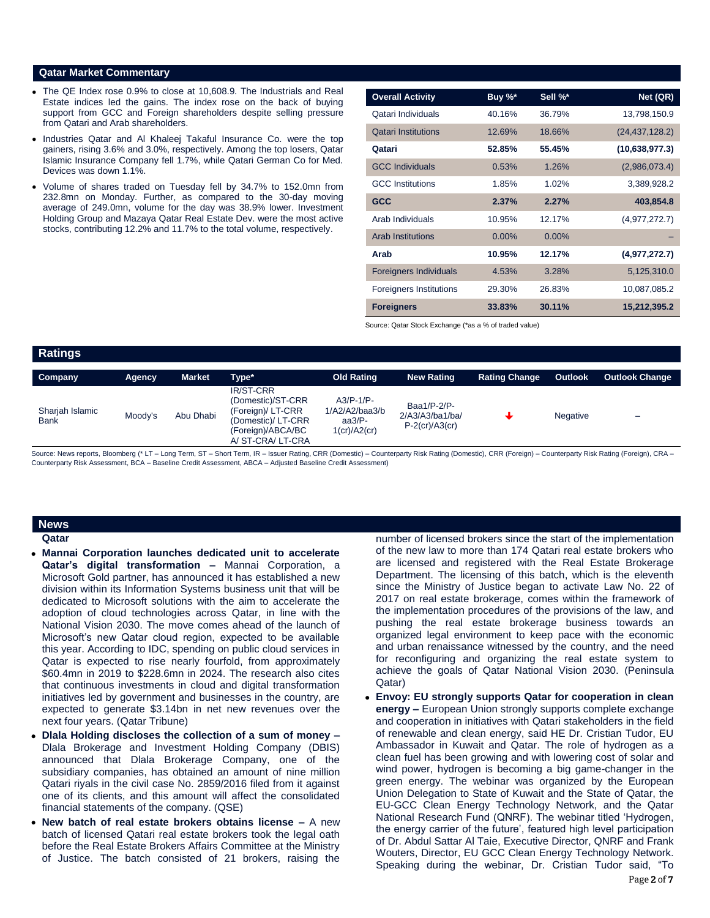### **Qatar Market Commentary**

- The QE Index rose 0.9% to close at 10,608.9. The Industrials and Real Estate indices led the gains. The index rose on the back of buying support from GCC and Foreign shareholders despite selling pressure from Qatari and Arab shareholders.
- Industries Qatar and AI Khaleej Takaful Insurance Co. were the top gainers, rising 3.6% and 3.0%, respectively. Among the top losers, Qatar Islamic Insurance Company fell 1.7%, while Qatari German Co for Med. Devices was down 1.1%.
- Volume of shares traded on Tuesday fell by 34.7% to 152.0mn from 232.8mn on Monday. Further, as compared to the 30-day moving average of 249.0mn, volume for the day was 38.9% lower. Investment Holding Group and Mazaya Qatar Real Estate Dev. were the most active stocks, contributing 12.2% and 11.7% to the total volume, respectively.

| <b>Overall Activity</b>        | Buy %*   | Sell %*  | Net (QR)         |
|--------------------------------|----------|----------|------------------|
| Qatari Individuals             | 40.16%   | 36.79%   | 13,798,150.9     |
| <b>Qatari Institutions</b>     | 12.69%   | 18.66%   | (24, 437, 128.2) |
| Qatari                         | 52.85%   | 55.45%   | (10,638,977.3)   |
| <b>GCC Individuals</b>         | 0.53%    | 1.26%    | (2,986,073.4)    |
| <b>GCC</b> Institutions        | 1.85%    | 1.02%    | 3,389,928.2      |
| <b>GCC</b>                     | 2.37%    | 2.27%    | 403,854.8        |
| Arab Individuals               | 10.95%   | 12.17%   | (4,977,272.7)    |
| <b>Arab Institutions</b>       | $0.00\%$ | $0.00\%$ |                  |
| Arab                           | 10.95%   | 12.17%   | (4,977,272.7)    |
| <b>Foreigners Individuals</b>  | 4.53%    | 3.28%    | 5,125,310.0      |
| <b>Foreigners Institutions</b> | 29.30%   | 26.83%   | 10,087,085.2     |
| <b>Foreigners</b>              | 33.83%   | 30.11%   | 15,212,395.2     |

Source: Qatar Stock Exchange (\*as a % of traded value)

| <b>Ratings</b>                 |         |           |                                                                                                                     |                                                                |                                                     |                      |                 |                       |
|--------------------------------|---------|-----------|---------------------------------------------------------------------------------------------------------------------|----------------------------------------------------------------|-----------------------------------------------------|----------------------|-----------------|-----------------------|
| Company                        | Agency  | Market    | Type*                                                                                                               | <b>Old Rating</b>                                              | <b>New Rating</b>                                   | <b>Rating Change</b> | <b>Outlook</b>  | <b>Outlook Change</b> |
| Sharjah Islamic<br><b>Bank</b> | Moody's | Abu Dhabi | IR/ST-CRR<br>(Domestic)/ST-CRR<br>(Foreign)/ LT-CRR<br>(Domestic)/ LT-CRR<br>(Foreign)/ABCA/BC<br>A/ ST-CRA/ LT-CRA | $A3/P-1/P-$<br>1/A2/A2/baa3/b<br>aa $3/P$ -<br>$1$ (cr)/A2(cr) | Baa1/P-2/P-<br>2/A3/A3/ba1/ba/<br>$P-2$ (cr)/A3(cr) |                      | <b>Negative</b> | -                     |

Source: News reports, Bloomberg (\* LT – Long Term, ST – Short Term, IR – Issuer Rating, CRR (Domestic) – Counterparty Risk Rating (Domestic), CRR (Foreign) – Counterparty Risk Rating (Foreign), CRA – Counterparty Risk Assessment, BCA – Baseline Credit Assessment, ABCA – Adjusted Baseline Credit Assessment)

# **News**

**Qatar** 

- **Mannai Corporation launches dedicated unit to accelerate Qatar's digital transformation –** Mannai Corporation, a Microsoft Gold partner, has announced it has established a new division within its Information Systems business unit that will be dedicated to Microsoft solutions with the aim to accelerate the adoption of cloud technologies across Qatar, in line with the National Vision 2030. The move comes ahead of the launch of Microsoft's new Qatar cloud region, expected to be available this year. According to IDC, spending on public cloud services in Qatar is expected to rise nearly fourfold, from approximately \$60.4mn in 2019 to \$228.6mn in 2024. The research also cites that continuous investments in cloud and digital transformation initiatives led by government and businesses in the country, are expected to generate \$3.14bn in net new revenues over the next four years. (Qatar Tribune)
- **Dlala Holding discloses the collection of a sum of money –** Dlala Brokerage and Investment Holding Company (DBIS) announced that Dlala Brokerage Company, one of the subsidiary companies, has obtained an amount of nine million Qatari riyals in the civil case No. 2859/2016 filed from it against one of its clients, and this amount will affect the consolidated financial statements of the company. (QSE)
- **New batch of real estate brokers obtains license –** A new batch of licensed Qatari real estate brokers took the legal oath before the Real Estate Brokers Affairs Committee at the Ministry of Justice. The batch consisted of 21 brokers, raising the

number of licensed brokers since the start of the implementation of the new law to more than 174 Qatari real estate brokers who are licensed and registered with the Real Estate Brokerage Department. The licensing of this batch, which is the eleventh since the Ministry of Justice began to activate Law No. 22 of 2017 on real estate brokerage, comes within the framework of the implementation procedures of the provisions of the law, and pushing the real estate brokerage business towards an organized legal environment to keep pace with the economic and urban renaissance witnessed by the country, and the need for reconfiguring and organizing the real estate system to achieve the goals of Qatar National Vision 2030. (Peninsula Qatar)

 **Envoy: EU strongly supports Qatar for cooperation in clean energy –** European Union strongly supports complete exchange and cooperation in initiatives with Qatari stakeholders in the field of renewable and clean energy, said HE Dr. Cristian Tudor, EU Ambassador in Kuwait and Qatar. The role of hydrogen as a clean fuel has been growing and with lowering cost of solar and wind power, hydrogen is becoming a big game-changer in the green energy. The webinar was organized by the European Union Delegation to State of Kuwait and the State of Qatar, the EU-GCC Clean Energy Technology Network, and the Qatar National Research Fund (QNRF). The webinar titled 'Hydrogen, the energy carrier of the future', featured high level participation of Dr. Abdul Sattar Al Taie, Executive Director, QNRF and Frank Wouters, Director, EU GCC Clean Energy Technology Network. Speaking during the webinar, Dr. Cristian Tudor said, "To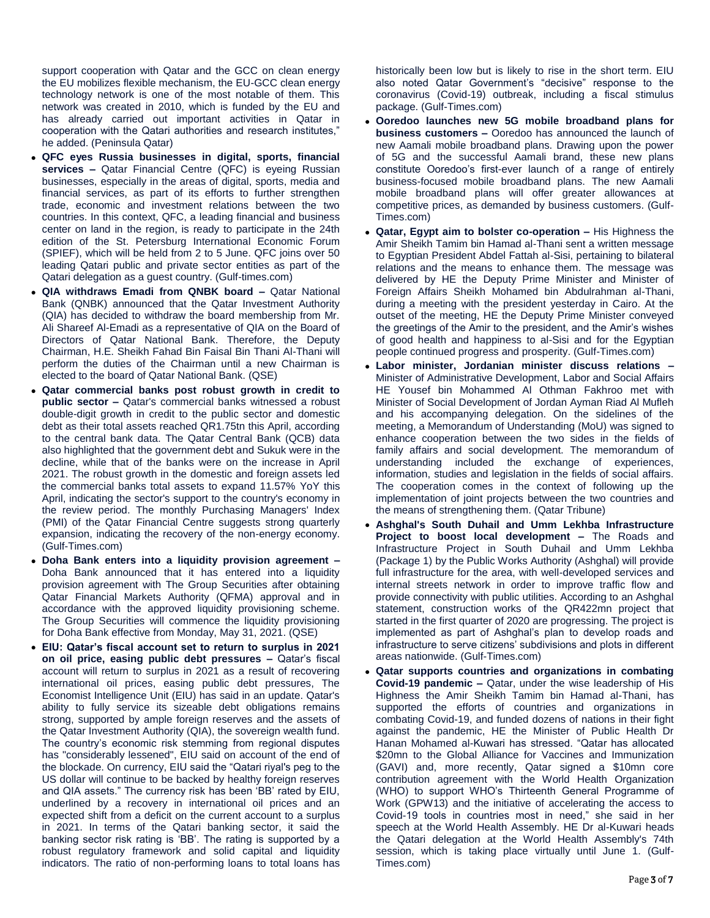support cooperation with Qatar and the GCC on clean energy the EU mobilizes flexible mechanism, the EU-GCC clean energy technology network is one of the most notable of them. This network was created in 2010, which is funded by the EU and has already carried out important activities in Qatar in cooperation with the Qatari authorities and research institutes," he added. (Peninsula Qatar)

- **QFC eyes Russia businesses in digital, sports, financial services –** Qatar Financial Centre (QFC) is eyeing Russian businesses, especially in the areas of digital, sports, media and financial services, as part of its efforts to further strengthen trade, economic and investment relations between the two countries. In this context, QFC, a leading financial and business center on land in the region, is ready to participate in the 24th edition of the St. Petersburg International Economic Forum (SPIEF), which will be held from 2 to 5 June. QFC joins over 50 leading Qatari public and private sector entities as part of the Qatari delegation as a guest country. (Gulf-times.com)
- **QIA withdraws Emadi from QNBK board –** Qatar National Bank (QNBK) announced that the Qatar Investment Authority (QIA) has decided to withdraw the board membership from Mr. Ali Shareef Al-Emadi as a representative of QIA on the Board of Directors of Qatar National Bank. Therefore, the Deputy Chairman, H.E. Sheikh Fahad Bin Faisal Bin Thani Al-Thani will perform the duties of the Chairman until a new Chairman is elected to the board of Qatar National Bank. (QSE)
- **Qatar commercial banks post robust growth in credit to public sector –** Qatar's commercial banks witnessed a robust double-digit growth in credit to the public sector and domestic debt as their total assets reached QR1.75tn this April, according to the central bank data. The Qatar Central Bank (QCB) data also highlighted that the government debt and Sukuk were in the decline, while that of the banks were on the increase in April 2021. The robust growth in the domestic and foreign assets led the commercial banks total assets to expand 11.57% YoY this April, indicating the sector's support to the country's economy in the review period. The monthly Purchasing Managers' Index (PMI) of the Qatar Financial Centre suggests strong quarterly expansion, indicating the recovery of the non-energy economy. (Gulf-Times.com)
- **Doha Bank enters into a liquidity provision agreement –** Doha Bank announced that it has entered into a liquidity provision agreement with The Group Securities after obtaining Qatar Financial Markets Authority (QFMA) approval and in accordance with the approved liquidity provisioning scheme. The Group Securities will commence the liquidity provisioning for Doha Bank effective from Monday, May 31, 2021. (QSE)
- **EIU: Qatar's fiscal account set to return to surplus in 2021 on oil price, easing public debt pressures –** Qatar's fiscal account will return to surplus in 2021 as a result of recovering international oil prices, easing public debt pressures, The Economist Intelligence Unit (EIU) has said in an update. Qatar's ability to fully service its sizeable debt obligations remains strong, supported by ample foreign reserves and the assets of the Qatar Investment Authority (QIA), the sovereign wealth fund. The country's economic risk stemming from regional disputes has "considerably lessened", EIU said on account of the end of the blockade. On currency, EIU said the "Qatari riyal's peg to the US dollar will continue to be backed by healthy foreign reserves and QIA assets." The currency risk has been 'BB' rated by EIU, underlined by a recovery in international oil prices and an expected shift from a deficit on the current account to a surplus in 2021. In terms of the Qatari banking sector, it said the banking sector risk rating is 'BB'. The rating is supported by a robust regulatory framework and solid capital and liquidity indicators. The ratio of non-performing loans to total loans has

historically been low but is likely to rise in the short term. EIU also noted Qatar Government's "decisive" response to the coronavirus (Covid-19) outbreak, including a fiscal stimulus package. (Gulf-Times.com)

- **Ooredoo launches new 5G mobile broadband plans for business customers –** Ooredoo has announced the launch of new Aamali mobile broadband plans. Drawing upon the power of 5G and the successful Aamali brand, these new plans constitute Ooredoo's first-ever launch of a range of entirely business-focused mobile broadband plans. The new Aamali mobile broadband plans will offer greater allowances at competitive prices, as demanded by business customers. (Gulf-Times.com)
- **Qatar, Egypt aim to bolster co-operation –** His Highness the Amir Sheikh Tamim bin Hamad al-Thani sent a written message to Egyptian President Abdel Fattah al-Sisi, pertaining to bilateral relations and the means to enhance them. The message was delivered by HE the Deputy Prime Minister and Minister of Foreign Affairs Sheikh Mohamed bin Abdulrahman al-Thani, during a meeting with the president yesterday in Cairo. At the outset of the meeting, HE the Deputy Prime Minister conveyed the greetings of the Amir to the president, and the Amir's wishes of good health and happiness to al-Sisi and for the Egyptian people continued progress and prosperity. (Gulf-Times.com)
- **Labor minister, Jordanian minister discuss relations –** Minister of Administrative Development, Labor and Social Affairs HE Yousef bin Mohammed Al Othman Fakhroo met with Minister of Social Development of Jordan Ayman Riad Al Mufleh and his accompanying delegation. On the sidelines of the meeting, a Memorandum of Understanding (MoU) was signed to enhance cooperation between the two sides in the fields of family affairs and social development. The memorandum of understanding included the exchange of experiences, information, studies and legislation in the fields of social affairs. The cooperation comes in the context of following up the implementation of joint projects between the two countries and the means of strengthening them. (Qatar Tribune)
- **Ashghal's South Duhail and Umm Lekhba Infrastructure Project to boost local development –** The Roads and Infrastructure Project in South Duhail and Umm Lekhba (Package 1) by the Public Works Authority (Ashghal) will provide full infrastructure for the area, with well-developed services and internal streets network in order to improve traffic flow and provide connectivity with public utilities. According to an Ashghal statement, construction works of the QR422mn project that started in the first quarter of 2020 are progressing. The project is implemented as part of Ashghal's plan to develop roads and infrastructure to serve citizens' subdivisions and plots in different areas nationwide. (Gulf-Times.com)
- **Qatar supports countries and organizations in combating Covid-19 pandemic –** Qatar, under the wise leadership of His Highness the Amir Sheikh Tamim bin Hamad al-Thani, has supported the efforts of countries and organizations in combating Covid-19, and funded dozens of nations in their fight against the pandemic, HE the Minister of Public Health Dr Hanan Mohamed al-Kuwari has stressed. "Qatar has allocated \$20mn to the Global Alliance for Vaccines and Immunization (GAVI) and, more recently, Qatar signed a \$10mn core contribution agreement with the World Health Organization (WHO) to support WHO's Thirteenth General Programme of Work (GPW13) and the initiative of accelerating the access to Covid-19 tools in countries most in need," she said in her speech at the World Health Assembly. HE Dr al-Kuwari heads the Qatari delegation at the World Health Assembly's 74th session, which is taking place virtually until June 1. (Gulf-Times.com)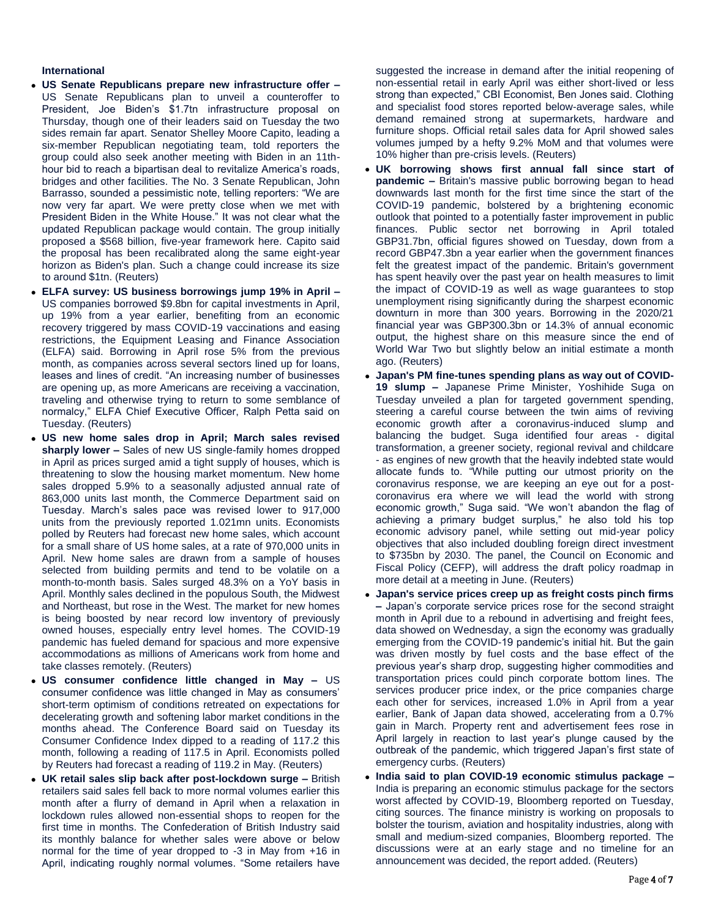# **International**

- **US Senate Republicans prepare new infrastructure offer –** US Senate Republicans plan to unveil a counteroffer to President, Joe Biden's \$1.7tn infrastructure proposal on Thursday, though one of their leaders said on Tuesday the two sides remain far apart. Senator Shelley Moore Capito, leading a six-member Republican negotiating team, told reporters the group could also seek another meeting with Biden in an 11thhour bid to reach a bipartisan deal to revitalize America's roads, bridges and other facilities. The No. 3 Senate Republican, John Barrasso, sounded a pessimistic note, telling reporters: "We are now very far apart. We were pretty close when we met with President Biden in the White House." It was not clear what the updated Republican package would contain. The group initially proposed a \$568 billion, five-year framework here. Capito said the proposal has been recalibrated along the same eight-year horizon as Biden's plan. Such a change could increase its size to around \$1tn. (Reuters)
- **ELFA survey: US business borrowings jump 19% in April –** US companies borrowed \$9.8bn for capital investments in April, up 19% from a year earlier, benefiting from an economic recovery triggered by mass COVID-19 vaccinations and easing restrictions, the Equipment Leasing and Finance Association (ELFA) said. Borrowing in April rose 5% from the previous month, as companies across several sectors lined up for loans, leases and lines of credit. "An increasing number of businesses are opening up, as more Americans are receiving a vaccination, traveling and otherwise trying to return to some semblance of normalcy," ELFA Chief Executive Officer, Ralph Petta said on Tuesday. (Reuters)
- **US new home sales drop in April; March sales revised sharply lower –** Sales of new US single-family homes dropped in April as prices surged amid a tight supply of houses, which is threatening to slow the housing market momentum. New home sales dropped 5.9% to a seasonally adjusted annual rate of 863,000 units last month, the Commerce Department said on Tuesday. March's sales pace was revised lower to 917,000 units from the previously reported 1.021mn units. Economists polled by Reuters had forecast new home sales, which account for a small share of US home sales, at a rate of 970,000 units in April. New home sales are drawn from a sample of houses selected from building permits and tend to be volatile on a month-to-month basis. Sales surged 48.3% on a YoY basis in April. Monthly sales declined in the populous South, the Midwest and Northeast, but rose in the West. The market for new homes is being boosted by near record low inventory of previously owned houses, especially entry level homes. The COVID-19 pandemic has fueled demand for spacious and more expensive accommodations as millions of Americans work from home and take classes remotely. (Reuters)
- **US consumer confidence little changed in May –** US consumer confidence was little changed in May as consumers' short-term optimism of conditions retreated on expectations for decelerating growth and softening labor market conditions in the months ahead. The Conference Board said on Tuesday its Consumer Confidence Index dipped to a reading of 117.2 this month, following a reading of 117.5 in April. Economists polled by Reuters had forecast a reading of 119.2 in May. (Reuters)
- **UK retail sales slip back after post-lockdown surge –** British retailers said sales fell back to more normal volumes earlier this month after a flurry of demand in April when a relaxation in lockdown rules allowed non-essential shops to reopen for the first time in months. The Confederation of British Industry said its monthly balance for whether sales were above or below normal for the time of year dropped to -3 in May from +16 in April, indicating roughly normal volumes. "Some retailers have

suggested the increase in demand after the initial reopening of non-essential retail in early April was either short-lived or less strong than expected," CBI Economist, Ben Jones said. Clothing and specialist food stores reported below-average sales, while demand remained strong at supermarkets, hardware and furniture shops. Official retail sales data for April showed sales volumes jumped by a hefty 9.2% MoM and that volumes were 10% higher than pre-crisis levels. (Reuters)

- **UK borrowing shows first annual fall since start of pandemic –** Britain's massive public borrowing began to head downwards last month for the first time since the start of the COVID-19 pandemic, bolstered by a brightening economic outlook that pointed to a potentially faster improvement in public finances. Public sector net borrowing in April totaled GBP31.7bn, official figures showed on Tuesday, down from a record GBP47.3bn a year earlier when the government finances felt the greatest impact of the pandemic. Britain's government has spent heavily over the past year on health measures to limit the impact of COVID-19 as well as wage guarantees to stop unemployment rising significantly during the sharpest economic downturn in more than 300 years. Borrowing in the 2020/21 financial year was GBP300.3bn or 14.3% of annual economic output, the highest share on this measure since the end of World War Two but slightly below an initial estimate a month ago. (Reuters)
- **Japan's PM fine-tunes spending plans as way out of COVID-19 slump –** Japanese Prime Minister, Yoshihide Suga on Tuesday unveiled a plan for targeted government spending, steering a careful course between the twin aims of reviving economic growth after a coronavirus-induced slump and balancing the budget. Suga identified four areas - digital transformation, a greener society, regional revival and childcare - as engines of new growth that the heavily indebted state would allocate funds to. "While putting our utmost priority on the coronavirus response, we are keeping an eye out for a postcoronavirus era where we will lead the world with strong economic growth," Suga said. "We won't abandon the flag of achieving a primary budget surplus," he also told his top economic advisory panel, while setting out mid-year policy objectives that also included doubling foreign direct investment to \$735bn by 2030. The panel, the Council on Economic and Fiscal Policy (CEFP), will address the draft policy roadmap in more detail at a meeting in June. (Reuters)
- **Japan's service prices creep up as freight costs pinch firms –** Japan's corporate service prices rose for the second straight month in April due to a rebound in advertising and freight fees, data showed on Wednesday, a sign the economy was gradually emerging from the COVID-19 pandemic's initial hit. But the gain was driven mostly by fuel costs and the base effect of the previous year's sharp drop, suggesting higher commodities and transportation prices could pinch corporate bottom lines. The services producer price index, or the price companies charge each other for services, increased 1.0% in April from a year earlier, Bank of Japan data showed, accelerating from a 0.7% gain in March. Property rent and advertisement fees rose in April largely in reaction to last year's plunge caused by the outbreak of the pandemic, which triggered Japan's first state of emergency curbs. (Reuters)
- **India said to plan COVID-19 economic stimulus package –** India is preparing an economic stimulus package for the sectors worst affected by COVID-19, Bloomberg reported on Tuesday, citing sources. The finance ministry is working on proposals to bolster the tourism, aviation and hospitality industries, along with small and medium-sized companies, Bloomberg reported. The discussions were at an early stage and no timeline for an announcement was decided, the report added. (Reuters)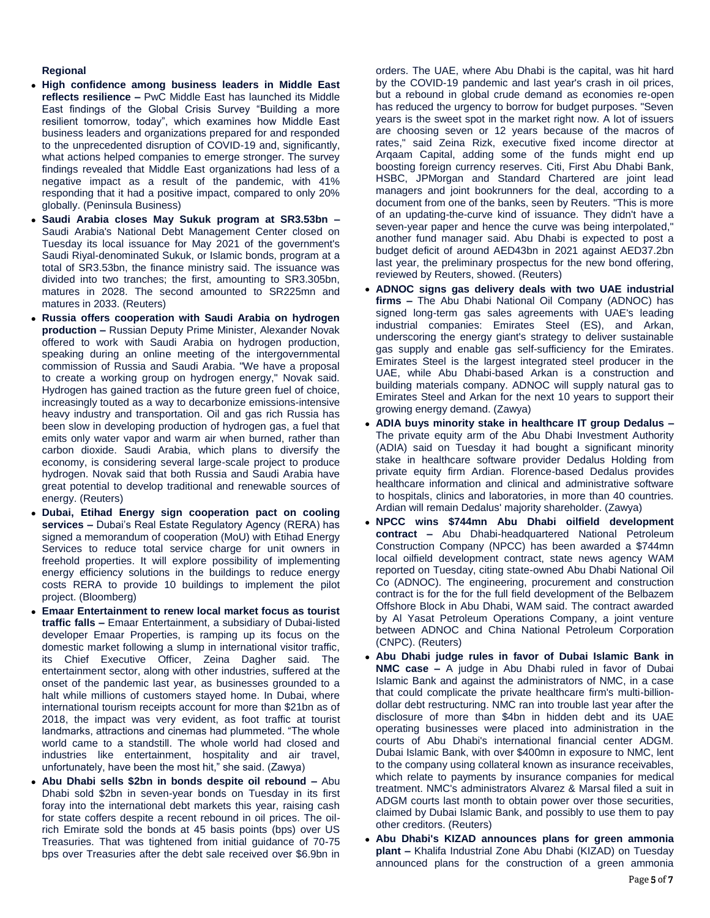# **Regional**

- **High confidence among business leaders in Middle East reflects resilience –** PwC Middle East has launched its Middle East findings of the Global Crisis Survey "Building a more resilient tomorrow, today", which examines how Middle East business leaders and organizations prepared for and responded to the unprecedented disruption of COVID-19 and, significantly, what actions helped companies to emerge stronger. The survey findings revealed that Middle East organizations had less of a negative impact as a result of the pandemic, with 41% responding that it had a positive impact, compared to only 20% globally. (Peninsula Business)
- **Saudi Arabia closes May Sukuk program at SR3.53bn –** Saudi Arabia's National Debt Management Center closed on Tuesday its local issuance for May 2021 of the government's Saudi Riyal-denominated Sukuk, or Islamic bonds, program at a total of SR3.53bn, the finance ministry said. The issuance was divided into two tranches; the first, amounting to SR3.305bn, matures in 2028. The second amounted to SR225mn and matures in 2033. (Reuters)
- **Russia offers cooperation with Saudi Arabia on hydrogen production –** Russian Deputy Prime Minister, Alexander Novak offered to work with Saudi Arabia on hydrogen production, speaking during an online meeting of the intergovernmental commission of Russia and Saudi Arabia. "We have a proposal to create a working group on hydrogen energy," Novak said. Hydrogen has gained traction as the future green fuel of choice, increasingly touted as a way to decarbonize emissions-intensive heavy industry and transportation. Oil and gas rich Russia has been slow in developing production of hydrogen gas, a fuel that emits only water vapor and warm air when burned, rather than carbon dioxide. Saudi Arabia, which plans to diversify the economy, is considering several large-scale project to produce hydrogen. Novak said that both Russia and Saudi Arabia have great potential to develop traditional and renewable sources of energy. (Reuters)
- **Dubai, Etihad Energy sign cooperation pact on cooling services –** Dubai's Real Estate Regulatory Agency (RERA) has signed a memorandum of cooperation (MoU) with Etihad Energy Services to reduce total service charge for unit owners in freehold properties. It will explore possibility of implementing energy efficiency solutions in the buildings to reduce energy costs RERA to provide 10 buildings to implement the pilot project. (Bloomberg)
- **Emaar Entertainment to renew local market focus as tourist traffic falls –** Emaar Entertainment, a subsidiary of Dubai-listed developer Emaar Properties, is ramping up its focus on the domestic market following a slump in international visitor traffic, its Chief Executive Officer, Zeina Dagher said. The entertainment sector, along with other industries, suffered at the onset of the pandemic last year, as businesses grounded to a halt while millions of customers stayed home. In Dubai, where international tourism receipts account for more than \$21bn as of 2018, the impact was very evident, as foot traffic at tourist landmarks, attractions and cinemas had plummeted. "The whole world came to a standstill. The whole world had closed and industries like entertainment, hospitality and air travel, unfortunately, have been the most hit," she said. (Zawya)
- **Abu Dhabi sells \$2bn in bonds despite oil rebound –** Abu Dhabi sold \$2bn in seven-year bonds on Tuesday in its first foray into the international debt markets this year, raising cash for state coffers despite a recent rebound in oil prices. The oilrich Emirate sold the bonds at 45 basis points (bps) over US Treasuries. That was tightened from initial guidance of 70-75 bps over Treasuries after the debt sale received over \$6.9bn in

orders. The UAE, where Abu Dhabi is the capital, was hit hard by the COVID-19 pandemic and last year's crash in oil prices, but a rebound in global crude demand as economies re-open has reduced the urgency to borrow for budget purposes. "Seven years is the sweet spot in the market right now. A lot of issuers are choosing seven or 12 years because of the macros of rates," said Zeina Rizk, executive fixed income director at Arqaam Capital, adding some of the funds might end up boosting foreign currency reserves. Citi, First Abu Dhabi Bank, HSBC, JPMorgan and Standard Chartered are joint lead managers and joint bookrunners for the deal, according to a document from one of the banks, seen by Reuters. "This is more of an updating-the-curve kind of issuance. They didn't have a seven-year paper and hence the curve was being interpolated," another fund manager said. Abu Dhabi is expected to post a budget deficit of around AED43bn in 2021 against AED37.2bn last year, the preliminary prospectus for the new bond offering, reviewed by Reuters, showed. (Reuters)

- **ADNOC signs gas delivery deals with two UAE industrial firms –** The Abu Dhabi National Oil Company (ADNOC) has signed long-term gas sales agreements with UAE's leading industrial companies: Emirates Steel (ES), and Arkan, underscoring the energy giant's strategy to deliver sustainable gas supply and enable gas self-sufficiency for the Emirates. Emirates Steel is the largest integrated steel producer in the UAE, while Abu Dhabi-based Arkan is a construction and building materials company. ADNOC will supply natural gas to Emirates Steel and Arkan for the next 10 years to support their growing energy demand. (Zawya)
- **ADIA buys minority stake in healthcare IT group Dedalus –** The private equity arm of the Abu Dhabi Investment Authority (ADIA) said on Tuesday it had bought a significant minority stake in healthcare software provider Dedalus Holding from private equity firm Ardian. Florence-based Dedalus provides healthcare information and clinical and administrative software to hospitals, clinics and laboratories, in more than 40 countries. Ardian will remain Dedalus' majority shareholder. (Zawya)
- **NPCC wins \$744mn Abu Dhabi oilfield development contract –** Abu Dhabi-headquartered National Petroleum Construction Company (NPCC) has been awarded a \$744mn local oilfield development contract, state news agency WAM reported on Tuesday, citing state-owned Abu Dhabi National Oil Co (ADNOC). The engineering, procurement and construction contract is for the for the full field development of the Belbazem Offshore Block in Abu Dhabi, WAM said. The contract awarded by Al Yasat Petroleum Operations Company, a joint venture between ADNOC and China National Petroleum Corporation (CNPC). (Reuters)
- **Abu Dhabi judge rules in favor of Dubai Islamic Bank in NMC case –** A judge in Abu Dhabi ruled in favor of Dubai Islamic Bank and against the administrators of NMC, in a case that could complicate the private healthcare firm's multi-billiondollar debt restructuring. NMC ran into trouble last year after the disclosure of more than \$4bn in hidden debt and its UAE operating businesses were placed into administration in the courts of Abu Dhabi's international financial center ADGM. Dubai Islamic Bank, with over \$400mn in exposure to NMC, lent to the company using collateral known as insurance receivables, which relate to payments by insurance companies for medical treatment. NMC's administrators Alvarez & Marsal filed a suit in ADGM courts last month to obtain power over those securities, claimed by Dubai Islamic Bank, and possibly to use them to pay other creditors. (Reuters)
- **Abu Dhabi's KIZAD announces plans for green ammonia plant –** Khalifa Industrial Zone Abu Dhabi (KIZAD) on Tuesday announced plans for the construction of a green ammonia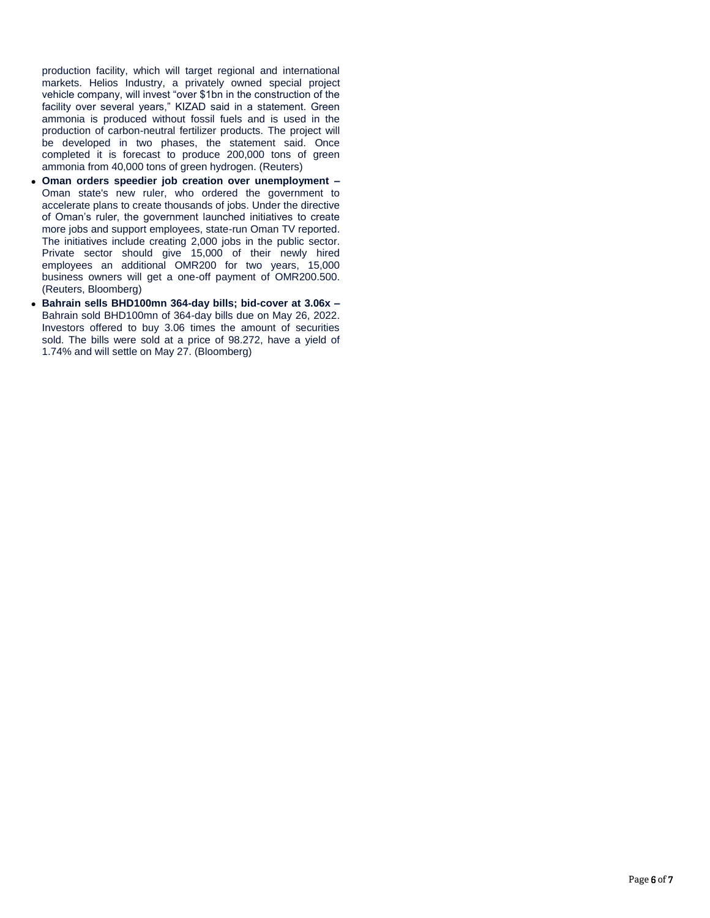production facility, which will target regional and international markets. Helios Industry, a privately owned special project vehicle company, will invest "over \$1bn in the construction of the facility over several years," KIZAD said in a statement. Green ammonia is produced without fossil fuels and is used in the production of carbon-neutral fertilizer products. The project will be developed in two phases, the statement said. Once completed it is forecast to produce 200,000 tons of green ammonia from 40,000 tons of green hydrogen. (Reuters)

- **Oman orders speedier job creation over unemployment –** Oman state's new ruler, who ordered the government to accelerate plans to create thousands of jobs. Under the directive of Oman's ruler, the government launched initiatives to create more jobs and support employees, state-run Oman TV reported. The initiatives include creating 2,000 jobs in the public sector. Private sector should give 15,000 of their newly hired employees an additional OMR200 for two years, 15,000 business owners will get a one-off payment of OMR200.500. (Reuters, Bloomberg)
- **Bahrain sells BHD100mn 364-day bills; bid-cover at 3.06x –** Bahrain sold BHD100mn of 364-day bills due on May 26, 2022. Investors offered to buy 3.06 times the amount of securities sold. The bills were sold at a price of 98.272, have a yield of 1.74% and will settle on May 27. (Bloomberg)